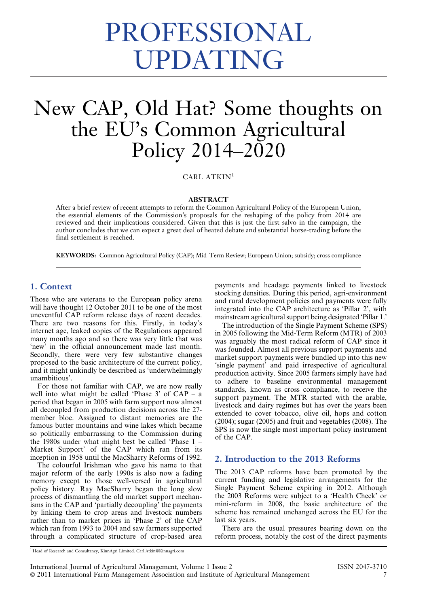# PROFESSIONAL UPDATING

# New CAP, Old Hat? Some thoughts on the EU's Common Agricultural Policy 2014–2020

CARL ATKIN<sup>1</sup>

#### ABSTRACT

After a brief review of recent attempts to reform the Common Agricultural Policy of the European Union, the essential elements of the Commission's proposals for the reshaping of the policy from 2014 are reviewed and their implications considered. Given that this is just the first salvo in the campaign, the author concludes that we can expect a great deal of heated debate and substantial horse-trading before the final settlement is reached.

KEYWORDS: Common Agricultural Policy (CAP); Mid-Term Review; European Union; subsidy; cross compliance

#### 1. Context

Those who are veterans to the European policy arena will have thought 12 October 2011 to be one of the most uneventful CAP reform release days of recent decades. There are two reasons for this. Firstly, in today's internet age, leaked copies of the Regulations appeared many months ago and so there was very little that was 'new' in the official announcement made last month. Secondly, there were very few substantive changes proposed to the basic architecture of the current policy, and it might unkindly be described as 'underwhelmingly unambitious'.

For those not familiar with CAP, we are now really well into what might be called 'Phase 3' of CAP – a period that began in 2005 with farm support now almost all decoupled from production decisions across the 27 member bloc. Assigned to distant memories are the famous butter mountains and wine lakes which became so politically embarrassing to the Commission during the 1980s under what might best be called 'Phase 1 – Market Support' of the CAP which ran from its inception in 1958 until the MacSharry Reforms of 1992.

The colourful Irishman who gave his name to that major reform of the early 1990s is also now a fading memory except to those well-versed in agricultural policy history. Ray MacSharry began the long slow process of dismantling the old market support mechanisms in the CAP and 'partially decoupling' the payments by linking them to crop areas and livestock numbers rather than to market prices in 'Phase 2' of the CAP which ran from 1993 to 2004 and saw farmers supported through a complicated structure of crop-based area payments and headage payments linked to livestock stocking densities. During this period, agri-environment and rural development policies and payments were fully integrated into the CAP architecture as 'Pillar 2', with mainstream agricultural support being designated 'Pillar 1.'

The introduction of the Single Payment Scheme (SPS) in 2005 following the Mid-Term Reform (MTR) of 2003 was arguably the most radical reform of CAP since it was founded. Almost all previous support payments and market support payments were bundled up into this new 'single payment' and paid irrespective of agricultural production activity. Since 2005 farmers simply have had to adhere to baseline environmental management standards, known as cross compliance, to receive the support payment. The MTR started with the arable, livestock and dairy regimes but has over the years been extended to cover tobacco, olive oil, hops and cotton (2004); sugar (2005) and fruit and vegetables (2008). The SPS is now the single most important policy instrument of the CAP.

#### 2. Introduction to the 2013 Reforms

The 2013 CAP reforms have been promoted by the current funding and legislative arrangements for the Single Payment Scheme expiring in 2012. Although the 2003 Reforms were subject to a 'Health Check' or mini-reform in 2008, the basic architecture of the scheme has remained unchanged across the EU for the last six years.

There are the usual pressures bearing down on the reform process, notably the cost of the direct payments

<sup>1</sup> Head of Research and Consultancy, KinnAgri Limited. Carl.Atkin@Kinnagri.com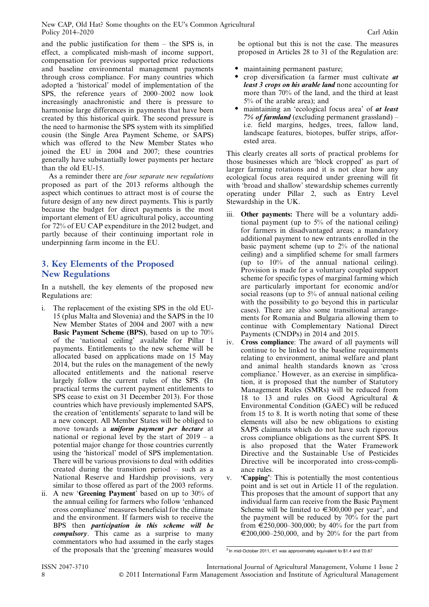and the public justification for them – the SPS is, in effect, a complicated mish-mash of income support, compensation for previous supported price reductions and baseline environmental management payments through cross compliance. For many countries which adopted a 'historical' model of implementation of the SPS, the reference years of 2000–2002 now look increasingly anachronistic and there is pressure to harmonise large differences in payments that have been created by this historical quirk. The second pressure is the need to harmonise the SPS system with its simplified cousin (the Single Area Payment Scheme, or SAPS) which was offered to the New Member States who joined the EU in 2004 and 2007; these countries generally have substantially lower payments per hectare than the old EU-15.

As a reminder there are four separate new regulations proposed as part of the 2013 reforms although the aspect which continues to attract most is of course the future design of any new direct payments. This is partly because the budget for direct payments is the most important element of EU agricultural policy, accounting for 72% of EU CAP expenditure in the 2012 budget, and partly because of their continuing important role in underpinning farm income in the EU.

# 3. Key Elements of the Proposed New Regulations

In a nutshell, the key elements of the proposed new Regulations are:

- i. The replacement of the existing SPS in the old EU-15 (plus Malta and Slovenia) and the SAPS in the 10 New Member States of 2004 and 2007 with a new Basic Payment Scheme (BPS), based on up to 70% of the 'national ceiling' available for Pillar 1 payments. Entitlements to the new scheme will be allocated based on applications made on 15 May 2014, but the rules on the management of the newly allocated entitlements and the national reserve largely follow the current rules of the SPS. (In practical terms the current payment entitlements to SPS cease to exist on 31 December 2013). For those countries which have previously implemented SAPS, the creation of 'entitlements' separate to land will be a new concept. All Member States will be obliged to move towards a *uniform payment per hectare* at national or regional level by the start of 2019 – a potential major change for those countries currently using the 'historical' model of SPS implementation. There will be various provisions to deal with oddities created during the transition period – such as a National Reserve and Hardship provisions, very similar to those offered as part of the 2003 reforms.
- ii. A new 'Greening Payment' based on up to 30% of the annual ceiling for farmers who follow 'enhanced cross compliance' measures beneficial for the climate and the environment. If farmers wish to receive the BPS then participation in this scheme will be compulsory. This came as a surprise to many commentators who had assumed in the early stages of the proposals that the 'greening' measures would

be optional but this is not the case. The measures proposed in Articles 28 to 31 of the Regulation are:

- maintaining permanent pasture;
- crop diversification (a farmer must cultivate *at* least 3 crops on his arable land none accounting for more than 70% of the land, and the third at least 5% of the arable area); and
- maintaining an 'ecological focus area' of *at least*  $7%$  of farmland (excluding permanent grassland) – i.e. field margins, hedges, trees, fallow land, landscape features, biotopes, buffer strips, afforested area.

This clearly creates all sorts of practical problems for those businesses which are 'block cropped' as part of larger farming rotations and it is not clear how any ecological focus area required under greening will fit with 'broad and shallow' stewardship schemes currently operating under Pillar 2, such as Entry Level Stewardship in the UK.

- iii. Other payments: There will be a voluntary additional payment (up to 5% of the national ceiling) for farmers in disadvantaged areas; a mandatory additional payment to new entrants enrolled in the basic payment scheme (up to 2% of the national ceiling) and a simplified scheme for small farmers (up to 10% of the annual national ceiling). Provision is made for a voluntary coupled support scheme for specific types of marginal farming which are particularly important for economic and/or social reasons (up to 5% of annual national ceiling with the possibility to go beyond this in particular cases). There are also some transitional arrangements for Romania and Bulgaria allowing them to continue with Complementary National Direct Payments (CNDPs) in 2014 and 2015.
- iv. Cross compliance: The award of all payments will continue to be linked to the baseline requirements relating to environment, animal welfare and plant and animal health standards known as 'cross compliance.' However, as an exercise in simplification, it is proposed that the number of Statutory Management Rules (SMRs) will be reduced from 18 to 13 and rules on Good Agricultural & Environmental Condition (GAEC) will be reduced from 15 to 8. It is worth noting that some of these elements will also be new obligations to existing SAPS claimants which do not have such rigorous cross compliance obligations as the current SPS. It is also proposed that the Water Framework Directive and the Sustainable Use of Pesticides Directive will be incorporated into cross-compliance rules.
- v. 'Capping': This is potentially the most contentious point and is set out in Article 11 of the regulation. This proposes that the amount of support that any individual farm can receive from the Basic Payment Scheme will be limited to  $\in 300,000$  per year<sup>2</sup>, and the payment will be reduced by 70% for the part from  $\epsilon$ 250,000–300,000; by 40% for the part from  $\epsilon$ 200,000–250,000, and by 20% for the part from

<sup>&</sup>lt;sup>2</sup> In mid-October 2011, €1 was approximately equivalent to \$1.4 and £0.87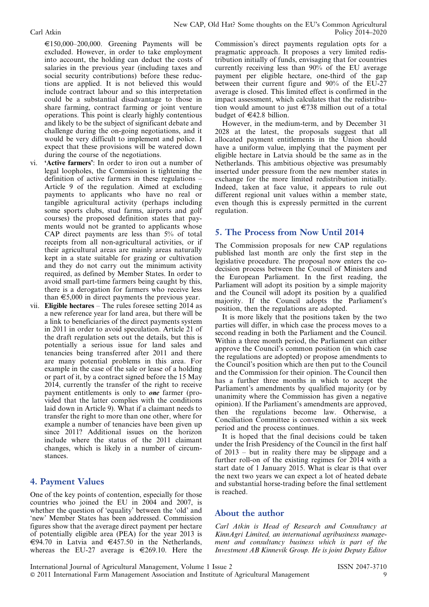$E150,000-200,000$ . Greening Payments will be excluded. However, in order to take employment into account, the holding can deduct the costs of salaries in the previous year (including taxes and social security contributions) before these reductions are applied. It is not believed this would include contract labour and so this interpretation could be a substantial disadvantage to those in share farming, contract farming or joint venture operations. This point is clearly highly contentious and likely to be the subject of significant debate and challenge during the on-going negotiations, and it would be very difficult to implement and police. I expect that these provisions will be watered down during the course of the negotiations.

- vi. 'Active farmers': In order to iron out a number of legal loopholes, the Commission is tightening the definition of active farmers in these regulations – Article 9 of the regulation. Aimed at excluding payments to applicants who have no real or tangible agricultural activity (perhaps including some sports clubs, stud farms, airports and golf courses) the proposed definition states that payments would not be granted to applicants whose CAP direct payments are less than 5% of total receipts from all non-agricultural activities, or if their agricultural areas are mainly areas naturally kept in a state suitable for grazing or cultivation and they do not carry out the minimum activity required, as defined by Member States. In order to avoid small part-time farmers being caught by this, there is a derogation for farmers who receive less than  $\epsilon$ 5,000 in direct payments the previous year.
- vii. Eligible hectares The rules foresee setting 2014 as a new reference year for land area, but there will be a link to beneficiaries of the direct payments system in 2011 in order to avoid speculation. Article 21 of the draft regulation sets out the details, but this is potentially a serious issue for land sales and tenancies being transferred after 2011 and there are many potential problems in this area. For example in the case of the sale or lease of a holding or part of it, by a contract signed before the 15 May 2014, currently the transfer of the right to receive payment entitlements is only to one farmer (provided that the latter complies with the conditions laid down in Article 9). What if a claimant needs to transfer the right to more than one other, where for example a number of tenancies have been given up since 2011? Additional issues on the horizon include where the status of the 2011 claimant changes, which is likely in a number of circumstances.

# 4. Payment Values

One of the key points of contention, especially for those countries who joined the EU in 2004 and 2007, is whether the question of 'equality' between the 'old' and 'new' Member States has been addressed. Commission figures show that the average direct payment per hectare of potentially eligible area (PEA) for the year 2013 is €94.70 in Latvia and €457.50 in the Netherlands, whereas the EU-27 average is  $\in 269.10$ . Here the

Commission's direct payments regulation opts for a pragmatic approach. It proposes a very limited redistribution initially of funds, envisaging that for countries currently receiving less than 90% of the EU average payment per eligible hectare, one-third of the gap between their current figure and 90% of the EU-27 average is closed. This limited effect is confirmed in the impact assessment, which calculates that the redistribution would amount to just  $\epsilon$ 738 million out of a total budget of  $\in$ 42.8 billion.

However, in the medium-term, and by December 31 2028 at the latest, the proposals suggest that all allocated payment entitlements in the Union should have a uniform value, implying that the payment per eligible hectare in Latvia should be the same as in the Netherlands. This ambitious objective was presumably inserted under pressure from the new member states in exchange for the more limited redistribution initially. Indeed, taken at face value, it appears to rule out different regional unit values within a member state, even though this is expressly permitted in the current regulation.

## 5. The Process from Now Until 2014

The Commission proposals for new CAP regulations published last month are only the first step in the legislative procedure. The proposal now enters the codecision process between the Council of Ministers and the European Parliament. In the first reading, the Parliament will adopt its position by a simple majority and the Council will adopt its position by a qualified majority. If the Council adopts the Parliament's position, then the regulations are adopted.

It is more likely that the positions taken by the two parties will differ, in which case the process moves to a second reading in both the Parliament and the Council. Within a three month period, the Parliament can either approve the Council's common position (in which case the regulations are adopted) or propose amendments to the Council's position which are then put to the Council and the Commission for their opinion. The Council then has a further three months in which to accept the Parliament's amendments by qualified majority (or by unanimity where the Commission has given a negative opinion). If the Parliament's amendments are approved, then the regulations become law. Otherwise, a Conciliation Committee is convened within a six week period and the process continues.

It is hoped that the final decisions could be taken under the Irish Presidency of the Council in the first half of 2013 – but in reality there may be slippage and a further roll-on of the existing regimes for 2014 with a start date of 1 January 2015. What is clear is that over the next two years we can expect a lot of heated debate and substantial horse-trading before the final settlement is reached.

## About the author

Carl Atkin is Head of Research and Consultancy at KinnAgri Limited, an international agribusiness management and consultancy business which is part of the Investment AB Kinnevik Group. He is joint Deputy Editor